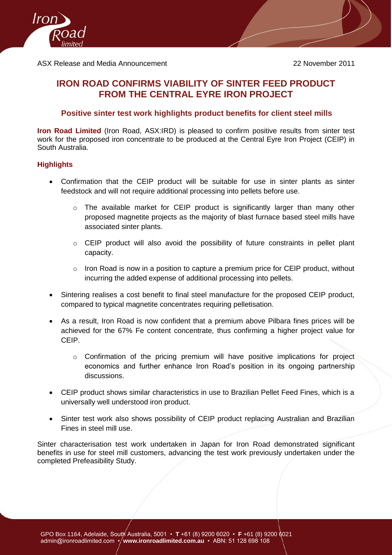

# **IRON ROAD CONFIRMS VIABILITY OF SINTER FEED PRODUCT FROM THE CENTRAL EYRE IRON PROJECT**

## **Positive sinter test work highlights product benefits for client steel mills**

**Iron Road Limited** (Iron Road, ASX:IRD) is pleased to confirm positive results from sinter test work for the proposed iron concentrate to be produced at the Central Eyre Iron Project (CEIP) in South Australia.

### **Highlights**

- Confirmation that the CEIP product will be suitable for use in sinter plants as sinter feedstock and will not require additional processing into pellets before use.
	- o The available market for CEIP product is significantly larger than many other proposed magnetite projects as the majority of blast furnace based steel mills have associated sinter plants.
	- o CEIP product will also avoid the possibility of future constraints in pellet plant capacity.
	- o Iron Road is now in a position to capture a premium price for CEIP product, without incurring the added expense of additional processing into pellets.
- Sintering realises a cost benefit to final steel manufacture for the proposed CEIP product, compared to typical magnetite concentrates requiring pelletisation.
- As a result, Iron Road is now confident that a premium above Pilbara fines prices will be achieved for the 67% Fe content concentrate, thus confirming a higher project value for CEIP.
	- o Confirmation of the pricing premium will have positive implications for project economics and further enhance Iron Road's position in its ongoing partnership discussions.
- CEIP product shows similar characteristics in use to Brazilian Pellet Feed Fines, which is a universally well understood iron product.
- Sinter test work also shows possibility of CEIP product replacing Australian and Brazilian Fines in steel mill use.

Sinter characterisation test work undertaken in Japan for Iron Road demonstrated significant benefits in use for steel mill customers, advancing the test work previously undertaken under the completed Prefeasibility Study.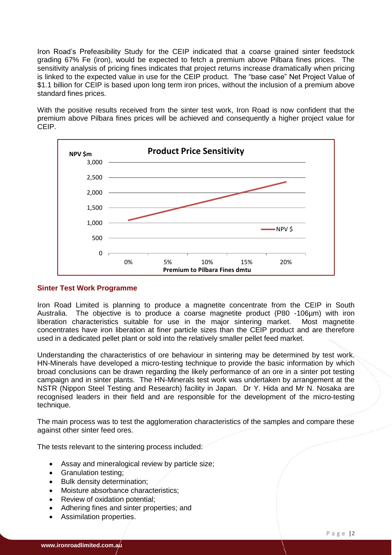Iron Road's Prefeasibility Study for the CEIP indicated that a coarse grained sinter feedstock grading 67% Fe (iron), would be expected to fetch a premium above Pilbara fines prices. The sensitivity analysis of pricing fines indicates that project returns increase dramatically when pricing is linked to the expected value in use for the CEIP product. The "base case" Net Project Value of \$1.1 billion for CEIP is based upon long term iron prices, without the inclusion of a premium above standard fines prices.

With the positive results received from the sinter test work, Iron Road is now confident that the premium above Pilbara fines prices will be achieved and consequently a higher project value for CEIP.



#### **Sinter Test Work Programme**

Iron Road Limited is planning to produce a magnetite concentrate from the CEIP in South Australia. The objective is to produce a coarse magnetite product (P80 -106µm) with iron liberation characteristics suitable for use in the major sintering market. Most magnetite concentrates have iron liberation at finer particle sizes than the CEIP product and are therefore used in a dedicated pellet plant or sold into the relatively smaller pellet feed market.

Understanding the characteristics of ore behaviour in sintering may be determined by test work. HN-Minerals have developed a micro-testing technique to provide the basic information by which broad conclusions can be drawn regarding the likely performance of an ore in a sinter pot testing campaign and in sinter plants. The HN-Minerals test work was undertaken by arrangement at the NSTR (Nippon Steel Testing and Research) facility in Japan. Dr Y. Hida and Mr N. Nosaka are recognised leaders in their field and are responsible for the development of the micro-testing technique.

The main process was to test the agglomeration characteristics of the samples and compare these against other sinter feed ores.

The tests relevant to the sintering process included:

- Assay and mineralogical review by particle size;
- Granulation testing;
- Bulk density determination;
- Moisture absorbance characteristics;
- Review of oxidation potential;
- Adhering fines and sinter properties; and
- Assimilation properties.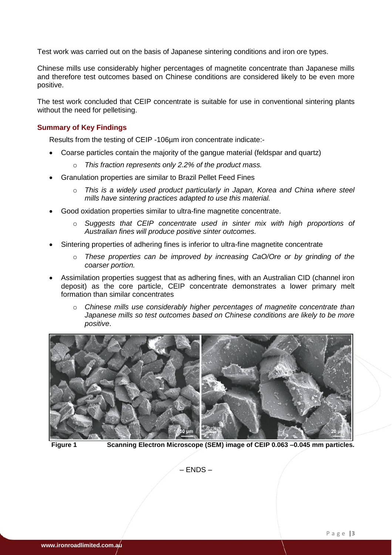Test work was carried out on the basis of Japanese sintering conditions and iron ore types.

Chinese mills use considerably higher percentages of magnetite concentrate than Japanese mills and therefore test outcomes based on Chinese conditions are considered likely to be even more positive.

The test work concluded that CEIP concentrate is suitable for use in conventional sintering plants without the need for pelletising.

#### **Summary of Key Findings**

Results from the testing of CEIP -106µm iron concentrate indicate:-

- Coarse particles contain the majority of the gangue material (feldspar and quartz)
	- o *This fraction represents only 2.2% of the product mass.*
- Granulation properties are similar to Brazil Pellet Feed Fines
	- o *This is a widely used product particularly in Japan, Korea and China where steel mills have sintering practices adapted to use this material.*
- Good oxidation properties similar to ultra-fine magnetite concentrate.
	- o *Suggests that CEIP concentrate used in sinter mix with high proportions of Australian fines will produce positive sinter outcomes.*
- Sintering properties of adhering fines is inferior to ultra-fine magnetite concentrate
	- o *These properties can be improved by increasing CaO/Ore or by grinding of the coarser portion.*
- Assimilation properties suggest that as adhering fines, with an Australian CID (channel iron deposit) as the core particle, CEIP concentrate demonstrates a lower primary melt formation than similar concentrates
	- o *Chinese mills use considerably higher percentages of magnetite concentrate than Japanese mills so test outcomes based on Chinese conditions are likely to be more positive*.



**Figure 1 Scanning Electron Microscope (SEM) image of CEIP 0.063 –0.045 mm particles.**

– ENDS –